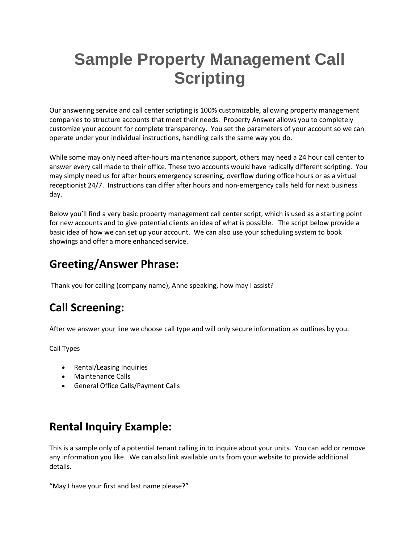# **Sample Property Management Call Scripting**

Our answering service and call center scripting is 100% customizable, allowing property management companies to structure accounts that meet their needs. Property Answer allows you to completely customize your account for complete transparency. You set the parameters of your account so we can operate under your individual instructions, handling calls the same way you do.

While some may only need after-hours maintenance support, others may need a 24 hour call center to answer every call made to their office. These two accounts would have radically different scripting. You may simply need us for after hours emergency screening, overflow during office hours or as a virtual receptionist 24/7. Instructions can differ after hours and non-emergency calls held for next business day.

Below you'll find a very basic property management call center script, which is used as a starting point for new accounts and to give potential clients an idea of what is possible. The script below provide a basic idea of how we can set up your account. We can also use your scheduling system to book showings and offer a more enhanced service.

#### **Greeting/Answer Phrase:**

Thank you for calling (company name), Anne speaking, how may I assist?

## **Call Screening:**

After we answer your line we choose call type and will only secure information as outlines by you.

Call Types

- Rental/Leasing Inquiries
- Maintenance Calls
- General Office Calls/Payment Calls

#### **Rental Inquiry Example:**

This is a sample only of a potential tenant calling in to inquire about your units. You can add or remove any information you like. We can also link available units from your website to provide additional details.

"May I have your first and last name please?"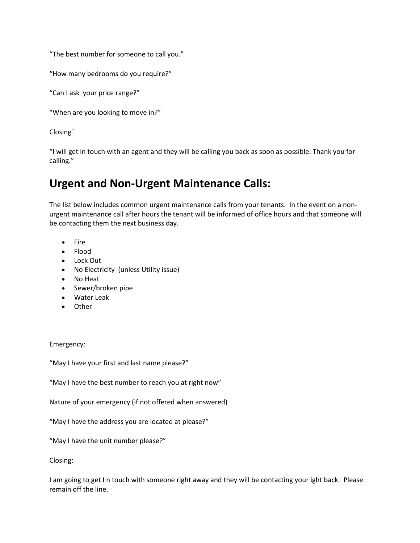"The best number for someone to call you."

"How many bedrooms do you require?"

"Can I ask your price range?"

"When are you looking to move in?"

Closing¨

"I will get in touch with an agent and they will be calling you back as soon as possible. Thank you for calling."

#### **Urgent and Non-Urgent Maintenance Calls:**

The list below includes common urgent maintenance calls from your tenants. In the event on a nonurgent maintenance call after hours the tenant will be informed of office hours and that someone will be contacting them the next business day.

- Fire
- Flood
- Lock Out
- No Electricity (unless Utility issue)
- No Heat
- Sewer/broken pipe
- Water Leak
- Other

Emergency:

"May I have your first and last name please?"

"May I have the best number to reach you at right now"

Nature of your emergency (if not offered when answered)

"May I have the address you are located at please?"

"May I have the unit number please?"

Closing:

I am going to get I n touch with someone right away and they will be contacting your ight back. Please remain off the line.